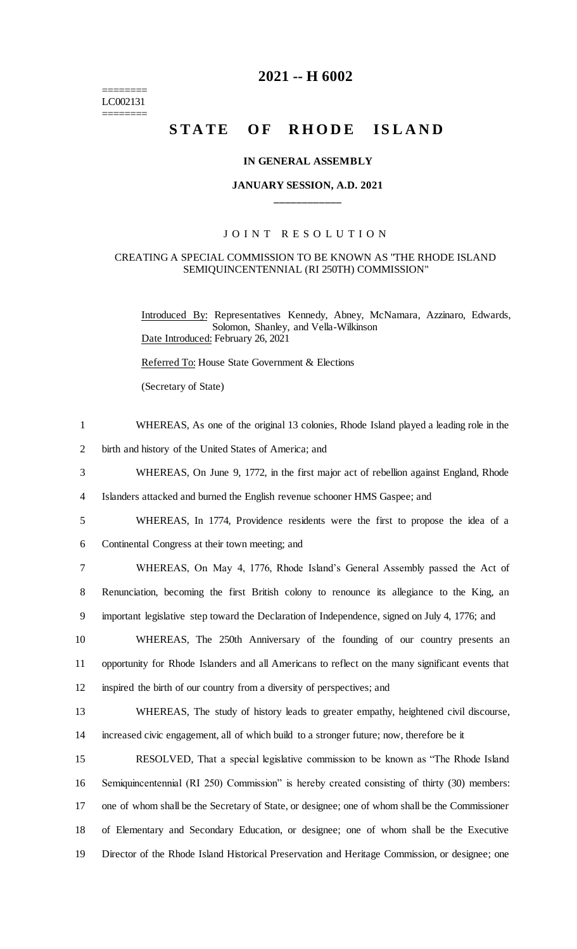======== LC002131 ========

## **2021 -- H 6002**

# STATE OF RHODE ISLAND

#### **IN GENERAL ASSEMBLY**

## **JANUARY SESSION, A.D. 2021 \_\_\_\_\_\_\_\_\_\_\_\_**

## JOINT RESOLUTION

#### CREATING A SPECIAL COMMISSION TO BE KNOWN AS "THE RHODE ISLAND SEMIQUINCENTENNIAL (RI 250TH) COMMISSION"

Introduced By: Representatives Kennedy, Abney, McNamara, Azzinaro, Edwards, Solomon, Shanley, and Vella-Wilkinson Date Introduced: February 26, 2021

Referred To: House State Government & Elections

(Secretary of State)

| $\mathbf{1}$ | WHEREAS, As one of the original 13 colonies, Rhode Island played a leading role in the           |
|--------------|--------------------------------------------------------------------------------------------------|
| 2            | birth and history of the United States of America; and                                           |
| 3            | WHEREAS, On June 9, 1772, in the first major act of rebellion against England, Rhode             |
| 4            | Islanders attacked and burned the English revenue schooner HMS Gaspee; and                       |
| 5            | WHEREAS, In 1774, Providence residents were the first to propose the idea of a                   |
| 6            | Continental Congress at their town meeting; and                                                  |
| 7            | WHEREAS, On May 4, 1776, Rhode Island's General Assembly passed the Act of                       |
| 8            | Renunciation, becoming the first British colony to renounce its allegiance to the King, an       |
| 9            | important legislative step toward the Declaration of Independence, signed on July 4, 1776; and   |
| 10           | WHEREAS, The 250th Anniversary of the founding of our country presents an                        |
| 11           | opportunity for Rhode Islanders and all Americans to reflect on the many significant events that |
| 12           | inspired the birth of our country from a diversity of perspectives; and                          |
| 13           | WHEREAS, The study of history leads to greater empathy, heightened civil discourse,              |
| 14           | increased civic engagement, all of which build to a stronger future; now, therefore be it        |
| 15           | RESOLVED, That a special legislative commission to be known as "The Rhode Island"                |
| 16           | Semiquincentennial (RI 250) Commission" is hereby created consisting of thirty (30) members:     |
| 17           | one of whom shall be the Secretary of State, or designee; one of whom shall be the Commissioner  |
| 18           | of Elementary and Secondary Education, or designee; one of whom shall be the Executive           |
| 19           | Director of the Rhode Island Historical Preservation and Heritage Commission, or designee; one   |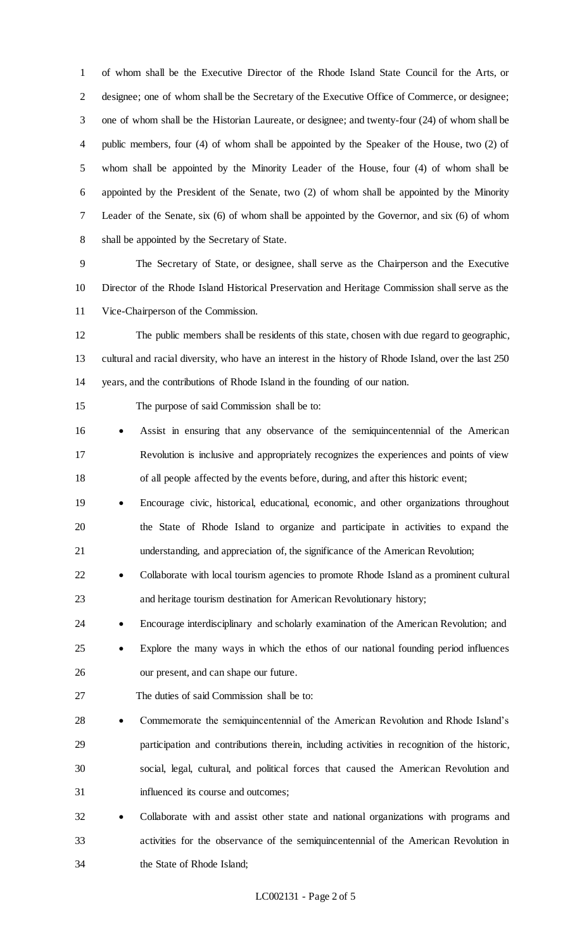of whom shall be the Executive Director of the Rhode Island State Council for the Arts, or designee; one of whom shall be the Secretary of the Executive Office of Commerce, or designee; one of whom shall be the Historian Laureate, or designee; and twenty-four (24) of whom shall be public members, four (4) of whom shall be appointed by the Speaker of the House, two (2) of whom shall be appointed by the Minority Leader of the House, four (4) of whom shall be appointed by the President of the Senate, two (2) of whom shall be appointed by the Minority Leader of the Senate, six (6) of whom shall be appointed by the Governor, and six (6) of whom shall be appointed by the Secretary of State.

 The Secretary of State, or designee, shall serve as the Chairperson and the Executive Director of the Rhode Island Historical Preservation and Heritage Commission shall serve as the Vice-Chairperson of the Commission.

 The public members shall be residents of this state, chosen with due regard to geographic, cultural and racial diversity, who have an interest in the history of Rhode Island, over the last 250 years, and the contributions of Rhode Island in the founding of our nation.

The purpose of said Commission shall be to:

- Assist in ensuring that any observance of the semiquincentennial of the American Revolution is inclusive and appropriately recognizes the experiences and points of view of all people affected by the events before, during, and after this historic event;
- Encourage civic, historical, educational, economic, and other organizations throughout the State of Rhode Island to organize and participate in activities to expand the understanding, and appreciation of, the significance of the American Revolution;
- 22 Collaborate with local tourism agencies to promote Rhode Island as a prominent cultural and heritage tourism destination for American Revolutionary history;
- 24 Encourage interdisciplinary and scholarly examination of the American Revolution; and
- Explore the many ways in which the ethos of our national founding period influences our present, and can shape our future.
- The duties of said Commission shall be to:
- Commemorate the semiquincentennial of the American Revolution and Rhode Island's participation and contributions therein, including activities in recognition of the historic, social, legal, cultural, and political forces that caused the American Revolution and influenced its course and outcomes;
- 32 Collaborate with and assist other state and national organizations with programs and activities for the observance of the semiquincentennial of the American Revolution in the State of Rhode Island;

## LC002131 - Page 2 of 5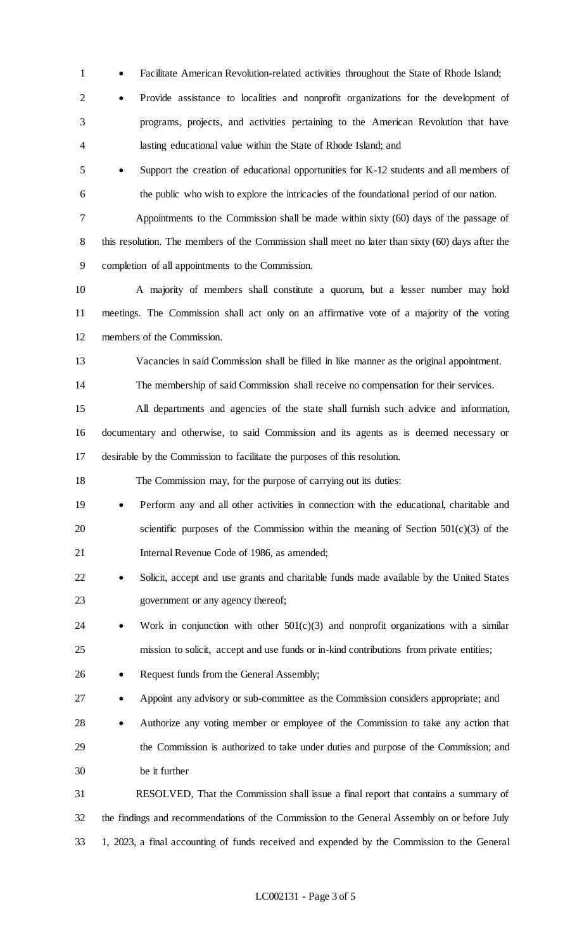- 1 Facilitate American Revolution-related activities throughout the State of Rhode Island;
- Provide assistance to localities and nonprofit organizations for the development of programs, projects, and activities pertaining to the American Revolution that have lasting educational value within the State of Rhode Island; and
- Support the creation of educational opportunities for K-12 students and all members of the public who wish to explore the intricacies of the foundational period of our nation.

 Appointments to the Commission shall be made within sixty (60) days of the passage of 8 this resolution. The members of the Commission shall meet no later than sixty (60) days after the completion of all appointments to the Commission.

 A majority of members shall constitute a quorum, but a lesser number may hold meetings. The Commission shall act only on an affirmative vote of a majority of the voting members of the Commission.

Vacancies in said Commission shall be filled in like manner as the original appointment.

The membership of said Commission shall receive no compensation for their services.

 All departments and agencies of the state shall furnish such advice and information, documentary and otherwise, to said Commission and its agents as is deemed necessary or desirable by the Commission to facilitate the purposes of this resolution.

The Commission may, for the purpose of carrying out its duties:

- 19 Perform any and all other activities in connection with the educational, charitable and scientific purposes of the Commission within the meaning of Section 501(c)(3) of the Internal Revenue Code of 1986, as amended;
- 22 Solicit, accept and use grants and charitable funds made available by the United States government or any agency thereof;
- 24 Work in conjunction with other  $501(c)(3)$  and nonprofit organizations with a similar mission to solicit, accept and use funds or in-kind contributions from private entities;
- 26 Request funds from the General Assembly;
- 27 Appoint any advisory or sub-committee as the Commission considers appropriate; and
- 28 Authorize any voting member or employee of the Commission to take any action that the Commission is authorized to take under duties and purpose of the Commission; and be it further

 RESOLVED, That the Commission shall issue a final report that contains a summary of the findings and recommendations of the Commission to the General Assembly on or before July 1, 2023, a final accounting of funds received and expended by the Commission to the General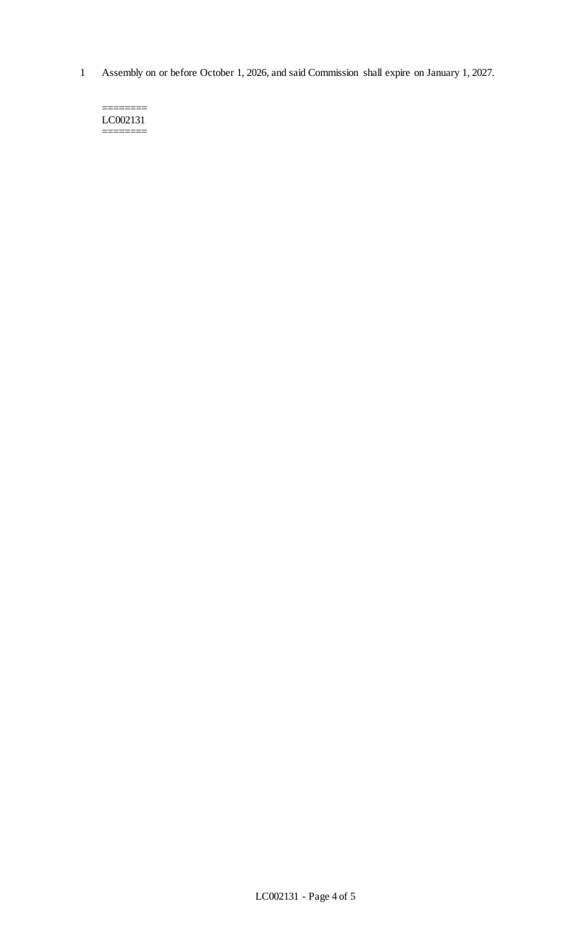1 Assembly on or before October 1, 2026, and said Commission shall expire on January 1, 2027.

======== LC002131 ========